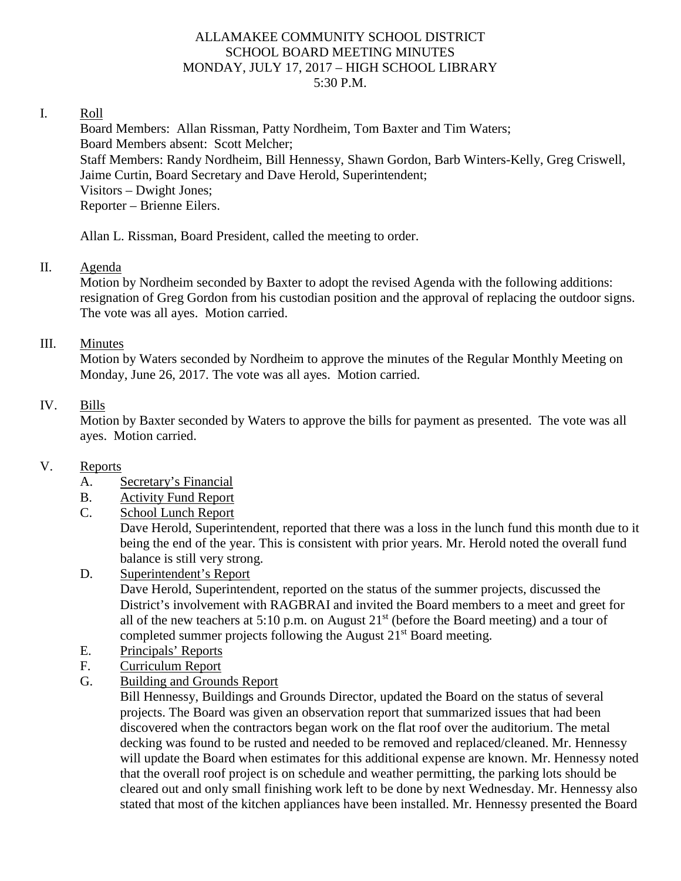### ALLAMAKEE COMMUNITY SCHOOL DISTRICT SCHOOL BOARD MEETING MINUTES MONDAY, JULY 17, 2017 – HIGH SCHOOL LIBRARY 5:30 P.M.

### I. Roll

Board Members: Allan Rissman, Patty Nordheim, Tom Baxter and Tim Waters; Board Members absent: Scott Melcher; Staff Members: Randy Nordheim, Bill Hennessy, Shawn Gordon, Barb Winters-Kelly, Greg Criswell, Jaime Curtin, Board Secretary and Dave Herold, Superintendent; Visitors – Dwight Jones; Reporter – Brienne Eilers.

Allan L. Rissman, Board President, called the meeting to order.

### II. Agenda

Motion by Nordheim seconded by Baxter to adopt the revised Agenda with the following additions: resignation of Greg Gordon from his custodian position and the approval of replacing the outdoor signs. The vote was all ayes. Motion carried.

### III. Minutes

Motion by Waters seconded by Nordheim to approve the minutes of the Regular Monthly Meeting on Monday, June 26, 2017. The vote was all ayes. Motion carried.

## IV. Bills

Motion by Baxter seconded by Waters to approve the bills for payment as presented. The vote was all ayes. Motion carried.

## V. Reports

- A. Secretary's Financial
- B. Activity Fund Report
- C. School Lunch Report

Dave Herold, Superintendent, reported that there was a loss in the lunch fund this month due to it being the end of the year. This is consistent with prior years. Mr. Herold noted the overall fund balance is still very strong.

D. Superintendent's Report

Dave Herold, Superintendent, reported on the status of the summer projects, discussed the District's involvement with RAGBRAI and invited the Board members to a meet and greet for all of the new teachers at 5:10 p.m. on August  $21<sup>st</sup>$  (before the Board meeting) and a tour of completed summer projects following the August 21<sup>st</sup> Board meeting.

- E. Principals' Reports
- F. Curriculum Report
- G. Building and Grounds Report

Bill Hennessy, Buildings and Grounds Director, updated the Board on the status of several projects. The Board was given an observation report that summarized issues that had been discovered when the contractors began work on the flat roof over the auditorium. The metal decking was found to be rusted and needed to be removed and replaced/cleaned. Mr. Hennessy will update the Board when estimates for this additional expense are known. Mr. Hennessy noted that the overall roof project is on schedule and weather permitting, the parking lots should be cleared out and only small finishing work left to be done by next Wednesday. Mr. Hennessy also stated that most of the kitchen appliances have been installed. Mr. Hennessy presented the Board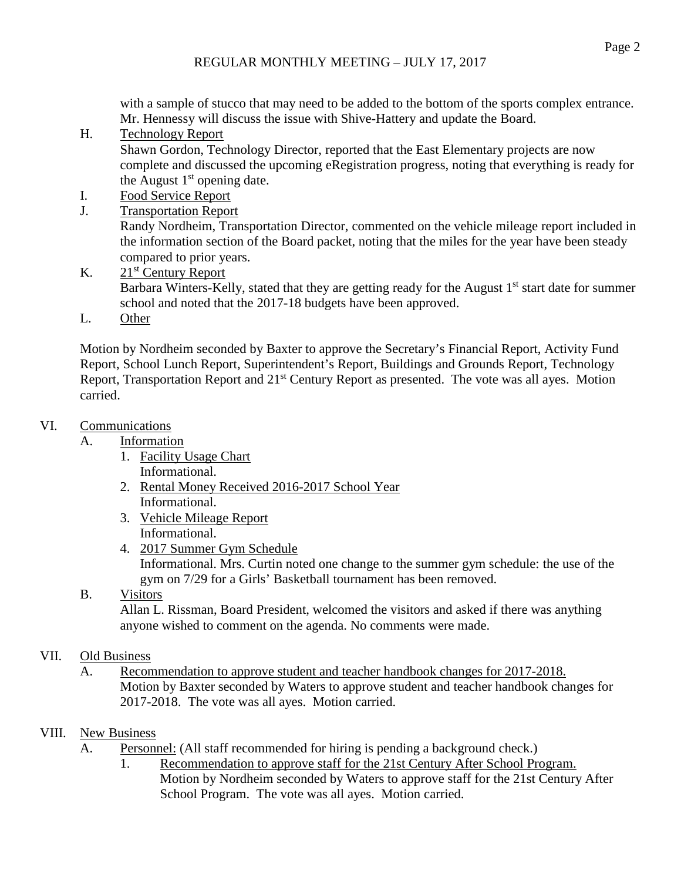with a sample of stucco that may need to be added to the bottom of the sports complex entrance. Mr. Hennessy will discuss the issue with Shive-Hattery and update the Board.

H. Technology Report

Shawn Gordon, Technology Director, reported that the East Elementary projects are now complete and discussed the upcoming eRegistration progress, noting that everything is ready for the August  $1<sup>st</sup>$  opening date.

- I. Food Service Report
- J. Transportation Report

Randy Nordheim, Transportation Director, commented on the vehicle mileage report included in the information section of the Board packet, noting that the miles for the year have been steady compared to prior years.

- K. 21<sup>st</sup> Century Report Barbara Winters-Kelly, stated that they are getting ready for the August  $1<sup>st</sup>$  start date for summer school and noted that the 2017-18 budgets have been approved.
- L. Other

Motion by Nordheim seconded by Baxter to approve the Secretary's Financial Report, Activity Fund Report, School Lunch Report, Superintendent's Report, Buildings and Grounds Report, Technology Report, Transportation Report and 21<sup>st</sup> Century Report as presented. The vote was all ayes. Motion carried.

## VI. Communications

- A. Information
	- 1. Facility Usage Chart Informational.
	- 2. Rental Money Received 2016-2017 School Year Informational.
	- 3. Vehicle Mileage Report Informational.
	- 4. 2017 Summer Gym Schedule Informational. Mrs. Curtin noted one change to the summer gym schedule: the use of the gym on 7/29 for a Girls' Basketball tournament has been removed.

# B. Visitors

Allan L. Rissman, Board President, welcomed the visitors and asked if there was anything anyone wished to comment on the agenda. No comments were made.

# VII. Old Business

A. Recommendation to approve student and teacher handbook changes for 2017-2018. Motion by Baxter seconded by Waters to approve student and teacher handbook changes for 2017-2018. The vote was all ayes. Motion carried.

# VIII. New Business

- A. Personnel: (All staff recommended for hiring is pending a background check.)
	- 1. Recommendation to approve staff for the 21st Century After School Program. Motion by Nordheim seconded by Waters to approve staff for the 21st Century After School Program. The vote was all ayes. Motion carried.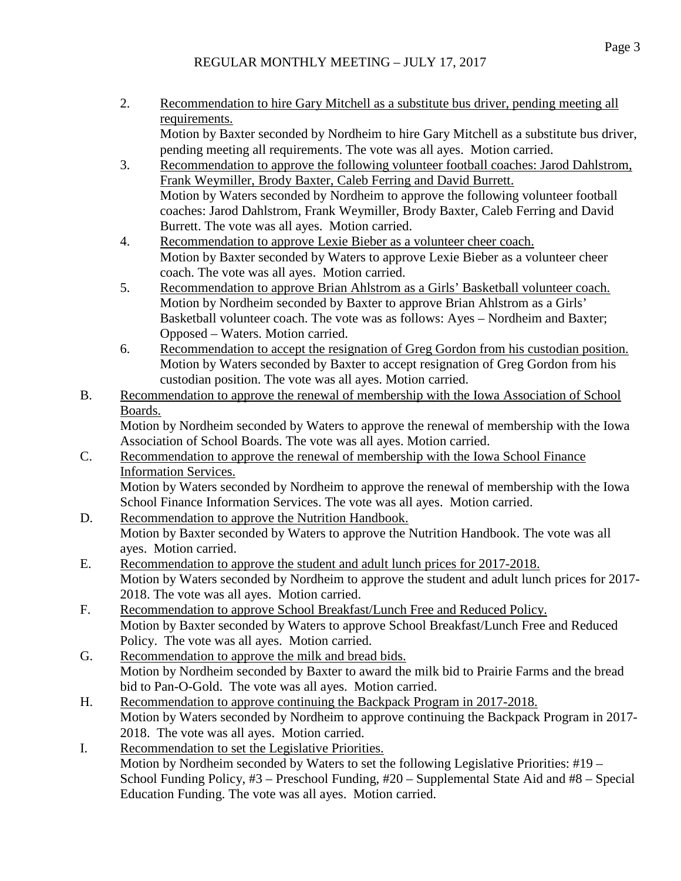- 2. Recommendation to hire Gary Mitchell as a substitute bus driver, pending meeting all requirements. Motion by Baxter seconded by Nordheim to hire Gary Mitchell as a substitute bus driver, pending meeting all requirements. The vote was all ayes. Motion carried.
- 3. Recommendation to approve the following volunteer football coaches: Jarod Dahlstrom, Frank Weymiller, Brody Baxter, Caleb Ferring and David Burrett. Motion by Waters seconded by Nordheim to approve the following volunteer football coaches: Jarod Dahlstrom, Frank Weymiller, Brody Baxter, Caleb Ferring and David Burrett. The vote was all ayes. Motion carried.
- 4. Recommendation to approve Lexie Bieber as a volunteer cheer coach. Motion by Baxter seconded by Waters to approve Lexie Bieber as a volunteer cheer coach. The vote was all ayes. Motion carried.
- 5. Recommendation to approve Brian Ahlstrom as a Girls' Basketball volunteer coach. Motion by Nordheim seconded by Baxter to approve Brian Ahlstrom as a Girls' Basketball volunteer coach. The vote was as follows: Ayes – Nordheim and Baxter; Opposed – Waters. Motion carried.
- 6. Recommendation to accept the resignation of Greg Gordon from his custodian position. Motion by Waters seconded by Baxter to accept resignation of Greg Gordon from his custodian position. The vote was all ayes. Motion carried.
- B. Recommendation to approve the renewal of membership with the Iowa Association of School Boards.

Motion by Nordheim seconded by Waters to approve the renewal of membership with the Iowa Association of School Boards. The vote was all ayes. Motion carried.

- C. Recommendation to approve the renewal of membership with the Iowa School Finance Information Services. Motion by Waters seconded by Nordheim to approve the renewal of membership with the Iowa School Finance Information Services. The vote was all ayes. Motion carried.
- D. Recommendation to approve the Nutrition Handbook. Motion by Baxter seconded by Waters to approve the Nutrition Handbook. The vote was all ayes. Motion carried.
- E. Recommendation to approve the student and adult lunch prices for 2017-2018. Motion by Waters seconded by Nordheim to approve the student and adult lunch prices for 2017- 2018. The vote was all ayes. Motion carried.
- F. Recommendation to approve School Breakfast/Lunch Free and Reduced Policy. Motion by Baxter seconded by Waters to approve School Breakfast/Lunch Free and Reduced Policy. The vote was all ayes. Motion carried.
- G. Recommendation to approve the milk and bread bids. Motion by Nordheim seconded by Baxter to award the milk bid to Prairie Farms and the bread bid to Pan-O-Gold. The vote was all ayes. Motion carried.
- H. Recommendation to approve continuing the Backpack Program in 2017-2018. Motion by Waters seconded by Nordheim to approve continuing the Backpack Program in 2017- 2018. The vote was all ayes. Motion carried.
- I. Recommendation to set the Legislative Priorities. Motion by Nordheim seconded by Waters to set the following Legislative Priorities: #19 – School Funding Policy, #3 – Preschool Funding, #20 – Supplemental State Aid and #8 – Special Education Funding. The vote was all ayes. Motion carried.